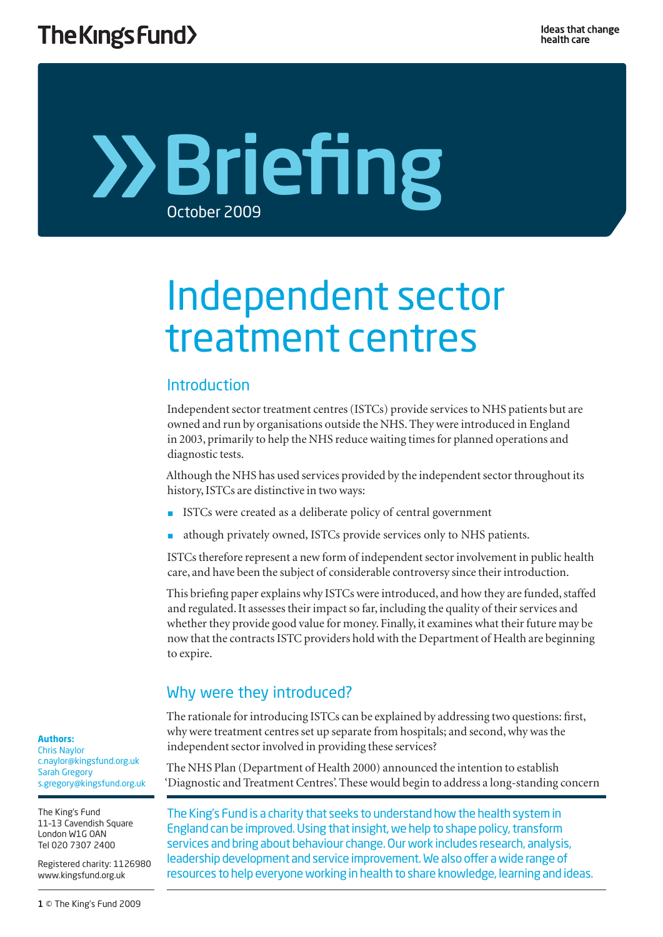# Briefing October 2009

# Independent sector treatment centres

# Introduction

Independent sector treatment centres (ISTCs) provide services to NHS patients but are owned and run by organisations outside the NHS. They were introduced in England in 2003, primarily to help the NHS reduce waiting times for planned operations and diagnostic tests.

Although the NHS has used services provided by the independent sector throughout its history, ISTCs are distinctive in two ways:

- ISTCs were created as a deliberate policy of central government
- athough privately owned, ISTCs provide services only to NHS patients.

ISTCs therefore represent a new form of independent sector involvement in public health care, and have been the subject of considerable controversy since their introduction.

This briefing paper explains why ISTCs were introduced, and how they are funded, staffed and regulated. It assesses their impact so far, including the quality of their services and whether they provide good value for money. Finally, it examines what their future may be now that the contracts ISTC providers hold with the Department of Health are beginning to expire.

# Why were they introduced?

The rationale for introducing ISTCs can be explained by addressing two questions: first, why were treatment centres set up separate from hospitals; and second, why was the independent sector involved in providing these services?

The NHS Plan (Department of Health 2000) announced the intention to establish 'Diagnostic and Treatment Centres'. These would begin to address a long-standing concern

The King's Fund is a charity that seeks to understand how the health system in England can be improved. Using that insight, we help to shape policy, transform services and bring about behaviour change. Our work includes research, analysis, leadership development and service improvement. We also offer a wide range of resources to help everyone working in health to share knowledge, learning and ideas.

#### **Authors:**

Chris Naylor c.naylor@kingsfund.org.uk Sarah Gregory s.gregory@kingsfund.org.uk

The King's Fund 11–13 Cavendish Square London W1G OAN Tel 020 7307 2400

Registered charity: 1126980 www.kingsfund.org.uk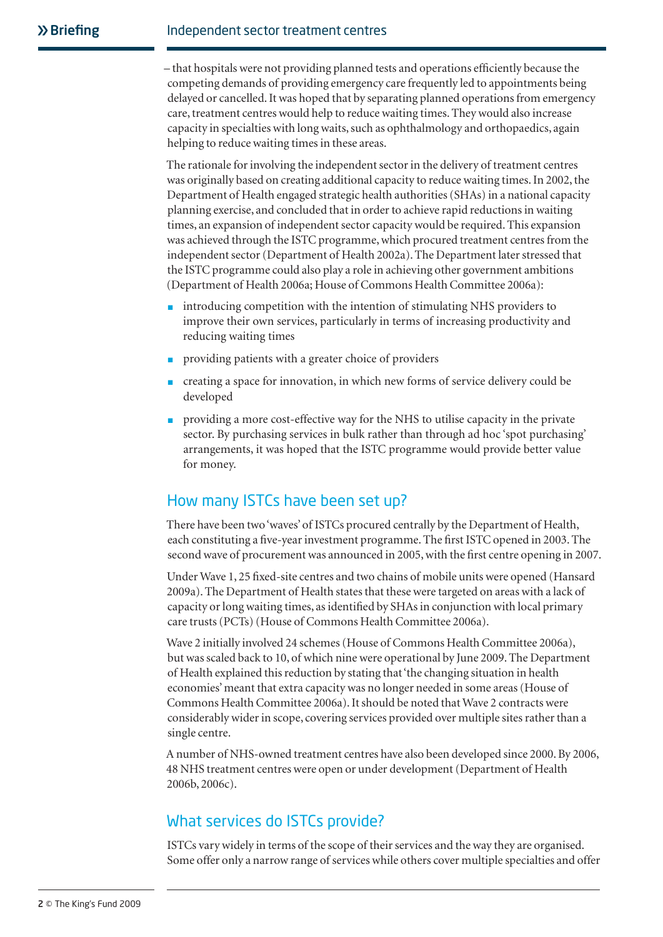– that hospitals were not providing planned tests and operations efficiently because the competing demands of providing emergency care frequently led to appointments being delayed or cancelled. It was hoped that by separating planned operations from emergency care, treatment centres would help to reduce waiting times. They would also increase capacity in specialties with long waits, such as ophthalmology and orthopaedics, again helping to reduce waiting times in these areas.

The rationale for involving the independent sector in the delivery of treatment centres was originally based on creating additional capacity to reduce waiting times. In 2002, the Department of Health engaged strategic health authorities (SHAs) in a national capacity planning exercise, and concluded that in order to achieve rapid reductions in waiting times, an expansion of independent sector capacity would be required. This expansion was achieved through the ISTC programme, which procured treatment centres from the independent sector (Department of Health 2002a). The Department later stressed that the ISTC programme could also play a role in achieving other government ambitions (Department of Health 2006a; House of Commons Health Committee 2006a):

- introducing competition with the intention of stimulating NHS providers to improve their own services, particularly in terms of increasing productivity and reducing waiting times
- providing patients with a greater choice of providers
- creating a space for innovation, in which new forms of service delivery could be developed
- providing a more cost-effective way for the NHS to utilise capacity in the private sector. By purchasing services in bulk rather than through ad hoc 'spot purchasing' arrangements, it was hoped that the ISTC programme would provide better value for money.

## How many ISTCs have been set up?

There have been two 'waves' of ISTCs procured centrally by the Department of Health, each constituting a five-year investment programme. The first ISTC opened in 2003. The second wave of procurement was announced in 2005, with the first centre opening in 2007.

Under Wave 1, 25 fixed-site centres and two chains of mobile units were opened (Hansard 2009a). The Department of Health states that these were targeted on areas with a lack of capacity or long waiting times, as identified by SHAs in conjunction with local primary care trusts (PCTs) (House of Commons Health Committee 2006a).

Wave 2 initially involved 24 schemes (House of Commons Health Committee 2006a), but was scaled back to 10, of which nine were operational by June 2009. The Department of Health explained this reduction by stating that 'the changing situation in health economies' meant that extra capacity was no longer needed in some areas (House of Commons Health Committee 2006a). It should be noted that Wave 2 contracts were considerably wider in scope, covering services provided over multiple sites rather than a single centre.

A number of NHS-owned treatment centres have also been developed since 2000. By 2006, 48 NHS treatment centres were open or under development (Department of Health 2006b, 2006c).

## What services do ISTCs provide?

ISTCs vary widely in terms of the scope of their services and the way they are organised. Some offer only a narrow range of services while others cover multiple specialties and offer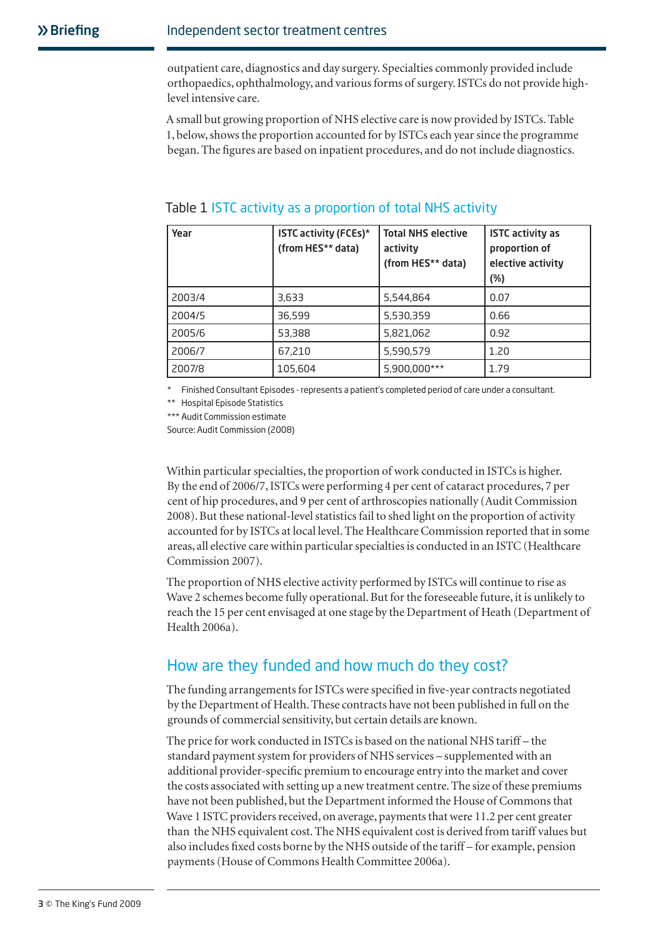outpatient care, diagnostics and day surgery. Specialties commonly provided include orthopaedics, ophthalmology, and various forms of surgery. ISTCs do not provide highlevel intensive care.

A small but growing proportion of NHS elective care is now provided by ISTCs. Table 1, below, shows the proportion accounted for by ISTCs each year since the programme began. The figures are based on inpatient procedures, and do not include diagnostics.

| Year   | <b>ISTC activity (FCEs)*</b><br>(from HES** data) | <b>Total NHS elective</b><br>activity<br>(from HES** data) | <b>ISTC activity as</b><br>proportion of<br>elective activity<br>(%) |
|--------|---------------------------------------------------|------------------------------------------------------------|----------------------------------------------------------------------|
| 2003/4 | 3,633                                             | 5,544,864                                                  | 0.07                                                                 |
| 2004/5 | 36,599                                            | 5,530,359                                                  | 0.66                                                                 |
| 2005/6 | 53,388                                            | 5,821,062                                                  | 0.92                                                                 |
| 2006/7 | 67,210                                            | 5,590,579                                                  | 1.20                                                                 |
| 2007/8 | 105,604                                           | 5,900,000***                                               | 1.79                                                                 |

#### Table 1 ISTC activity as a proportion of total NHS activity

\* Finished Consultant Episodes - represents a patient's completed period of care under a consultant.

\*\* Hospital Episode Statistics

\*\*\* Audit Commission estimate

Source: Audit Commission (2008)

Within particular specialties, the proportion of work conducted in ISTCs is higher. By the end of 2006/7, ISTCs were performing 4 per cent of cataract procedures, 7 per cent of hip procedures, and 9 per cent of arthroscopies nationally (Audit Commission 2008). But these national-level statistics fail to shed light on the proportion of activity accounted for by ISTCs at local level. The Healthcare Commission reported that in some areas, all elective care within particular specialties is conducted in an ISTC (Healthcare Commission 2007).

The proportion of NHS elective activity performed by ISTCs will continue to rise as Wave 2 schemes become fully operational. But for the foreseeable future, it is unlikely to reach the 15 per cent envisaged at one stage by the Department of Heath (Department of Health 2006a).

# How are they funded and how much do they cost?

The funding arrangements for ISTCs were specified in five-year contracts negotiated by the Department of Health. These contracts have not been published in full on the grounds of commercial sensitivity, but certain details are known.

The price for work conducted in ISTCs is based on the national NHS tariff – the standard payment system for providers of NHS services – supplemented with an additional provider-specific premium to encourage entry into the market and cover the costs associated with setting up a new treatment centre. The size of these premiums have not been published, but the Department informed the House of Commons that Wave 1 ISTC providers received, on average, payments that were 11.2 per cent greater than the NHS equivalent cost. The NHS equivalent cost is derived from tariff values but also includes fixed costs borne by the NHS outside of the tariff – for example, pension payments (House of Commons Health Committee 2006a).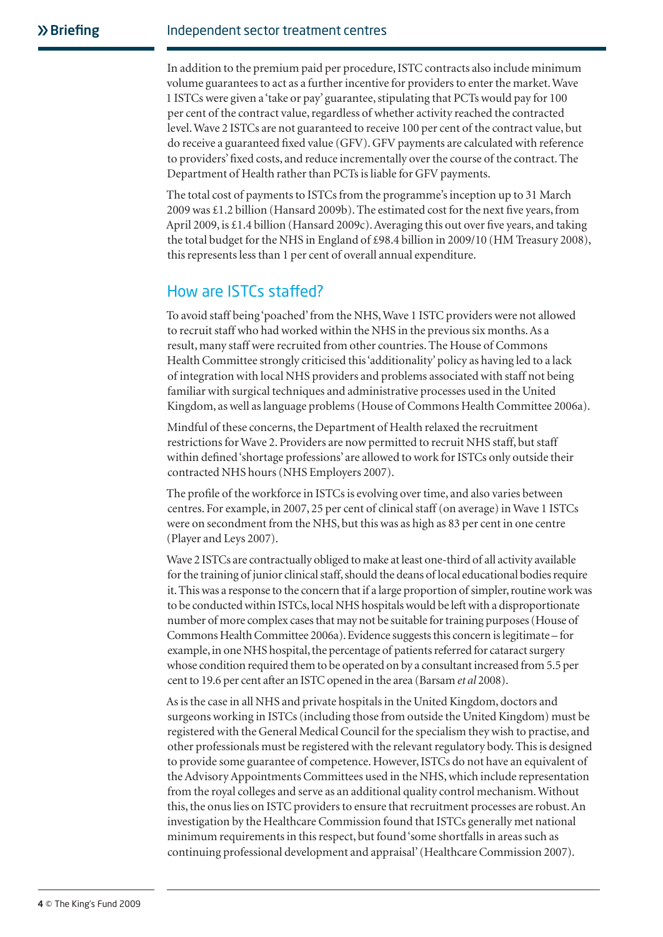In addition to the premium paid per procedure, ISTC contracts also include minimum volume guarantees to act as a further incentive for providers to enter the market. Wave 1 ISTCs were given a 'take or pay' guarantee, stipulating that PCTs would pay for 100 per cent of the contract value, regardless of whether activity reached the contracted level. Wave 2 ISTCs are not guaranteed to receive 100 per cent of the contract value, but do receive a guaranteed fixed value (GFV). GFV payments are calculated with reference to providers' fixed costs, and reduce incrementally over the course of the contract. The Department of Health rather than PCTs is liable for GFV payments.

The total cost of payments to ISTCs from the programme's inception up to 31 March 2009 was £1.2 billion (Hansard 2009b). The estimated cost for the next five years, from April 2009, is £1.4 billion (Hansard 2009c). Averaging this out over five years, and taking the total budget for the NHS in England of £98.4 billion in 2009/10 (HM Treasury 2008), this represents less than 1 per cent of overall annual expenditure.

## How are ISTCs staffed?

To avoid staff being 'poached' from the NHS, Wave 1 ISTC providers were not allowed to recruit staff who had worked within the NHS in the previous six months. As a result, many staff were recruited from other countries. The House of Commons Health Committee strongly criticised this 'additionality' policy as having led to a lack of integration with local NHS providers and problems associated with staff not being familiar with surgical techniques and administrative processes used in the United Kingdom, as well as language problems (House of Commons Health Committee 2006a).

Mindful of these concerns, the Department of Health relaxed the recruitment restrictions for Wave 2. Providers are now permitted to recruit NHS staff, but staff within defined 'shortage professions' are allowed to work for ISTCs only outside their contracted NHS hours (NHS Employers 2007).

The profile of the workforce in ISTCs is evolving over time, and also varies between centres. For example, in 2007, 25 per cent of clinical staff (on average) in Wave 1 ISTCs were on secondment from the NHS, but this was as high as 83 per cent in one centre (Player and Leys 2007).

Wave 2 ISTCs are contractually obliged to make at least one-third of all activity available for the training of junior clinical staff, should the deans of local educational bodies require it. This was a response to the concern that if a large proportion of simpler, routine work was to be conducted within ISTCs, local NHS hospitals would be left with a disproportionate number of more complex cases that may not be suitable for training purposes (House of Commons Health Committee 2006a). Evidence suggests this concern is legitimate – for example, in one NHS hospital, the percentage of patients referred for cataract surgery whose condition required them to be operated on by a consultant increased from 5.5 per cent to 19.6 per cent after an ISTC opened in the area (Barsam *et al* 2008).

As is the case in all NHS and private hospitals in the United Kingdom, doctors and surgeons working in ISTCs (including those from outside the United Kingdom) must be registered with the General Medical Council for the specialism they wish to practise, and other professionals must be registered with the relevant regulatory body. This is designed to provide some guarantee of competence. However, ISTCs do not have an equivalent of the Advisory Appointments Committees used in the NHS, which include representation from the royal colleges and serve as an additional quality control mechanism. Without this, the onus lies on ISTC providers to ensure that recruitment processes are robust. An investigation by the Healthcare Commission found that ISTCs generally met national minimum requirements in this respect, but found 'some shortfalls in areas such as continuing professional development and appraisal' (Healthcare Commission 2007).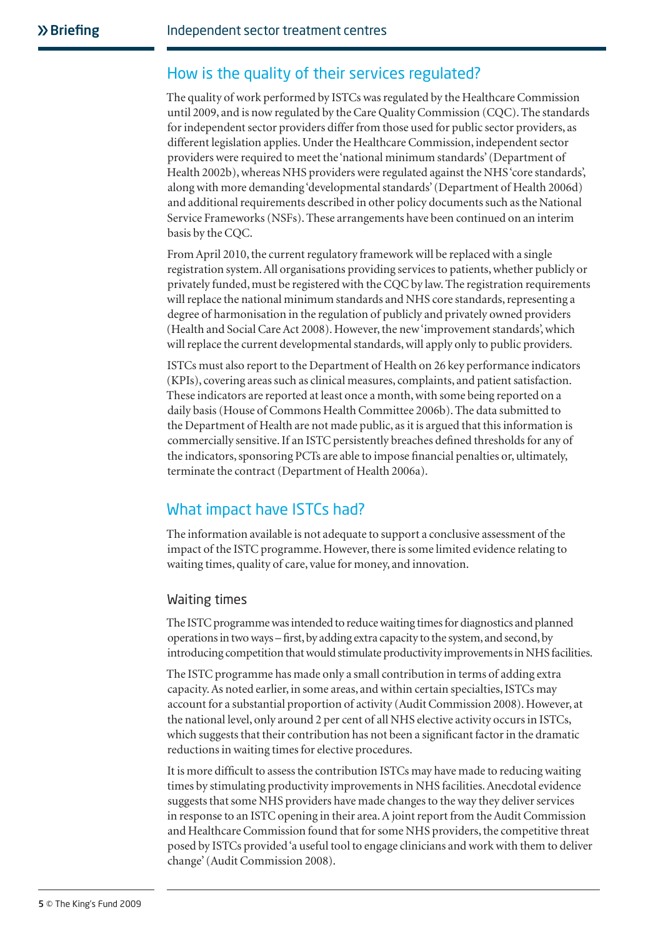# How is the quality of their services regulated?

The quality of work performed by ISTCs was regulated by the Healthcare Commission until 2009, and is now regulated by the Care Quality Commission (CQC). The standards for independent sector providers differ from those used for public sector providers, as different legislation applies. Under the Healthcare Commission, independent sector providers were required to meet the 'national minimum standards' (Department of Health 2002b), whereas NHS providers were regulated against the NHS 'core standards', along with more demanding 'developmental standards' (Department of Health 2006d) and additional requirements described in other policy documents such as the National Service Frameworks (NSFs). These arrangements have been continued on an interim basis by the CQC.

From April 2010, the current regulatory framework will be replaced with a single registration system. All organisations providing services to patients, whether publicly or privately funded, must be registered with the CQC by law. The registration requirements will replace the national minimum standards and NHS core standards, representing a degree of harmonisation in the regulation of publicly and privately owned providers (Health and Social Care Act 2008). However, the new 'improvement standards', which will replace the current developmental standards, will apply only to public providers.

ISTCs must also report to the Department of Health on 26 key performance indicators (KPIs), covering areas such as clinical measures, complaints, and patient satisfaction. These indicators are reported at least once a month, with some being reported on a daily basis (House of Commons Health Committee 2006b). The data submitted to the Department of Health are not made public, as it is argued that this information is commercially sensitive. If an ISTC persistently breaches defined thresholds for any of the indicators, sponsoring PCTs are able to impose financial penalties or, ultimately, terminate the contract (Department of Health 2006a).

## What impact have ISTCs had?

The information available is not adequate to support a conclusive assessment of the impact of the ISTC programme. However, there is some limited evidence relating to waiting times, quality of care, value for money, and innovation.

#### Waiting times

The ISTC programme was intended to reduce waiting times for diagnostics and planned operations in two ways – first, by adding extra capacity to the system, and second, by introducing competition that would stimulate productivity improvements in NHS facilities.

The ISTC programme has made only a small contribution in terms of adding extra capacity. As noted earlier, in some areas, and within certain specialties, ISTCs may account for a substantial proportion of activity (Audit Commission 2008). However, at the national level, only around 2 per cent of all NHS elective activity occurs in ISTCs, which suggests that their contribution has not been a significant factor in the dramatic reductions in waiting times for elective procedures.

It is more difficult to assess the contribution ISTCs may have made to reducing waiting times by stimulating productivity improvements in NHS facilities. Anecdotal evidence suggests that some NHS providers have made changes to the way they deliver services in response to an ISTC opening in their area. A joint report from the Audit Commission and Healthcare Commission found that for some NHS providers, the competitive threat posed by ISTCs provided 'a useful tool to engage clinicians and work with them to deliver change' (Audit Commission 2008).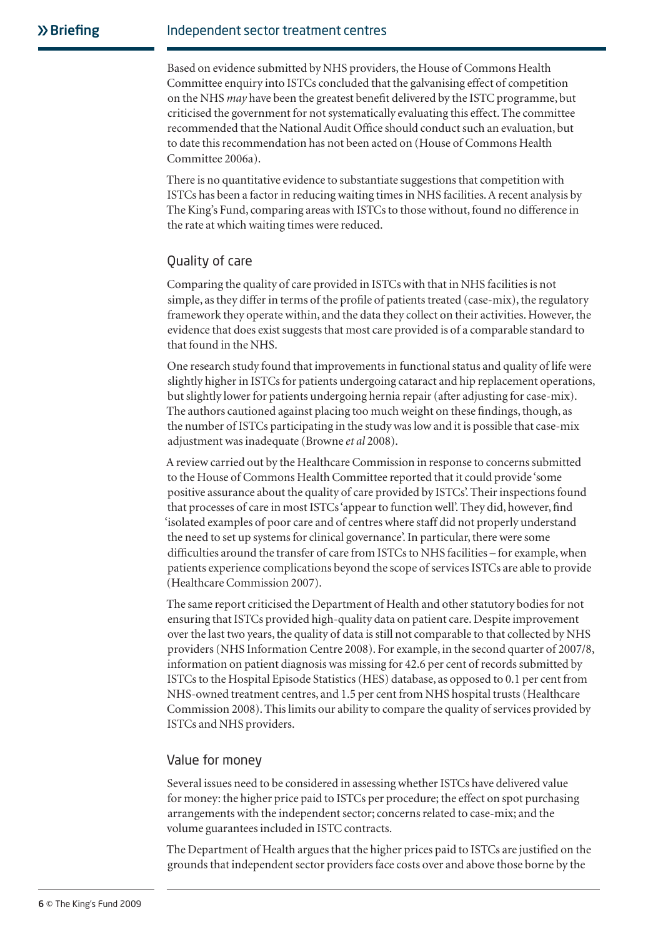Based on evidence submitted by NHS providers, the House of Commons Health Committee enquiry into ISTCs concluded that the galvanising effect of competition on the NHS *may* have been the greatest benefit delivered by the ISTC programme, but criticised the government for not systematically evaluating this effect. The committee recommended that the National Audit Office should conduct such an evaluation, but to date this recommendation has not been acted on (House of Commons Health Committee 2006a).

There is no quantitative evidence to substantiate suggestions that competition with ISTCs has been a factor in reducing waiting times in NHS facilities. A recent analysis by The King's Fund, comparing areas with ISTCs to those without, found no difference in the rate at which waiting times were reduced.

#### Quality of care

Comparing the quality of care provided in ISTCs with that in NHS facilities is not simple, as they differ in terms of the profile of patients treated (case-mix), the regulatory framework they operate within, and the data they collect on their activities. However, the evidence that does exist suggests that most care provided is of a comparable standard to that found in the NHS.

One research study found that improvements in functional status and quality of life were slightly higher in ISTCs for patients undergoing cataract and hip replacement operations, but slightly lower for patients undergoing hernia repair (after adjusting for case-mix). The authors cautioned against placing too much weight on these findings, though, as the number of ISTCs participating in the study was low and it is possible that case-mix adjustment was inadequate (Browne *et al* 2008).

A review carried out by the Healthcare Commission in response to concerns submitted to the House of Commons Health Committee reported that it could provide 'some positive assurance about the quality of care provided by ISTCs'. Their inspections found that processes of care in most ISTCs 'appear to function well'. They did, however, find 'isolated examples of poor care and of centres where staff did not properly understand the need to set up systems for clinical governance'. In particular, there were some difficulties around the transfer of care from ISTCs to NHS facilities – for example, when patients experience complications beyond the scope of services ISTCs are able to provide (Healthcare Commission 2007).

The same report criticised the Department of Health and other statutory bodies for not ensuring that ISTCs provided high-quality data on patient care. Despite improvement over the last two years, the quality of data is still not comparable to that collected by NHS providers (NHS Information Centre 2008). For example, in the second quarter of 2007/8, information on patient diagnosis was missing for 42.6 per cent of records submitted by ISTCs to the Hospital Episode Statistics (HES) database, as opposed to 0.1 per cent from NHS-owned treatment centres, and 1.5 per cent from NHS hospital trusts (Healthcare Commission 2008). This limits our ability to compare the quality of services provided by ISTCs and NHS providers.

#### Value for money

Several issues need to be considered in assessing whether ISTCs have delivered value for money: the higher price paid to ISTCs per procedure; the effect on spot purchasing arrangements with the independent sector; concerns related to case-mix; and the volume guarantees included in ISTC contracts.

The Department of Health argues that the higher prices paid to ISTCs are justified on the grounds that independent sector providers face costs over and above those borne by the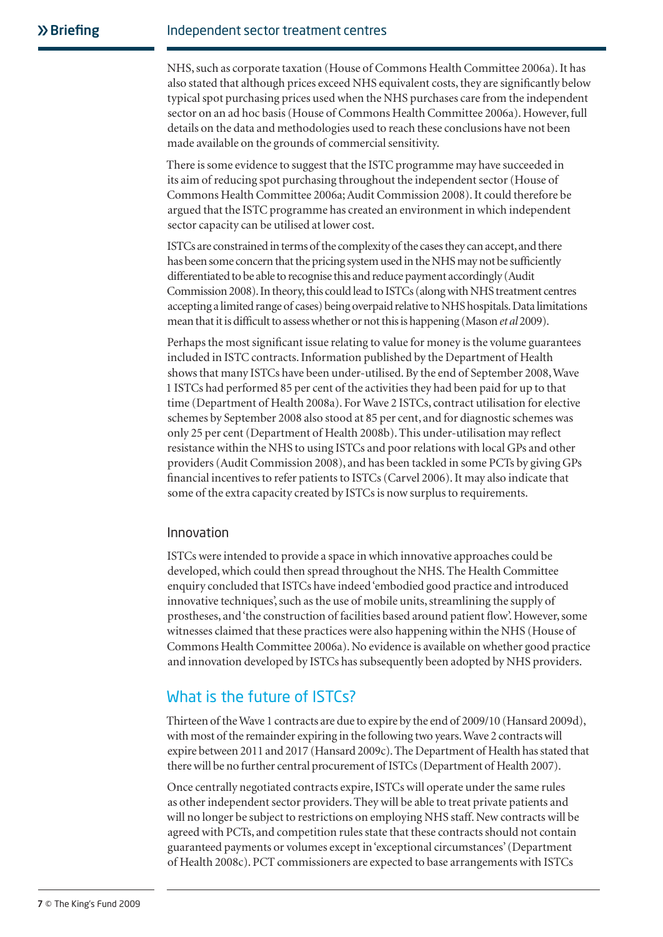NHS, such as corporate taxation (House of Commons Health Committee 2006a). It has also stated that although prices exceed NHS equivalent costs, they are significantly below typical spot purchasing prices used when the NHS purchases care from the independent sector on an ad hoc basis (House of Commons Health Committee 2006a). However, full details on the data and methodologies used to reach these conclusions have not been made available on the grounds of commercial sensitivity.

There is some evidence to suggest that the ISTC programme may have succeeded in its aim of reducing spot purchasing throughout the independent sector (House of Commons Health Committee 2006a; Audit Commission 2008). It could therefore be argued that the ISTC programme has created an environment in which independent sector capacity can be utilised at lower cost.

ISTCs are constrained in terms of the complexity of the cases they can accept, and there has been some concern that the pricing system used in the NHS may not be sufficiently differentiated to be able to recognise this and reduce payment accordingly (Audit Commission 2008). In theory, this could lead to ISTCs (along with NHS treatment centres accepting a limited range of cases) being overpaid relative to NHS hospitals. Data limitations mean that it is difficult to assess whether or not this is happening (Mason *et al* 2009).

Perhaps the most significant issue relating to value for money is the volume guarantees included in ISTC contracts. Information published by the Department of Health shows that many ISTCs have been under-utilised. By the end of September 2008, Wave 1 ISTCs had performed 85 per cent of the activities they had been paid for up to that time (Department of Health 2008a). For Wave 2 ISTCs, contract utilisation for elective schemes by September 2008 also stood at 85 per cent, and for diagnostic schemes was only 25 per cent (Department of Health 2008b). This under-utilisation may reflect resistance within the NHS to using ISTCs and poor relations with local GPs and other providers (Audit Commission 2008), and has been tackled in some PCTs by giving GPs financial incentives to refer patients to ISTCs (Carvel 2006). It may also indicate that some of the extra capacity created by ISTCs is now surplus to requirements.

#### Innovation

ISTCs were intended to provide a space in which innovative approaches could be developed, which could then spread throughout the NHS. The Health Committee enquiry concluded that ISTCs have indeed 'embodied good practice and introduced innovative techniques', such as the use of mobile units, streamlining the supply of prostheses, and 'the construction of facilities based around patient flow'. However, some witnesses claimed that these practices were also happening within the NHS (House of Commons Health Committee 2006a). No evidence is available on whether good practice and innovation developed by ISTCs has subsequently been adopted by NHS providers.

## What is the future of ISTCs?

Thirteen of the Wave 1 contracts are due to expire by the end of 2009/10 (Hansard 2009d), with most of the remainder expiring in the following two years. Wave 2 contracts will expire between 2011 and 2017 (Hansard 2009c). The Department of Health has stated that there will be no further central procurement of ISTCs (Department of Health 2007).

Once centrally negotiated contracts expire, ISTCs will operate under the same rules as other independent sector providers. They will be able to treat private patients and will no longer be subject to restrictions on employing NHS staff. New contracts will be agreed with PCTs, and competition rules state that these contracts should not contain guaranteed payments or volumes except in 'exceptional circumstances' (Department of Health 2008c). PCT commissioners are expected to base arrangements with ISTCs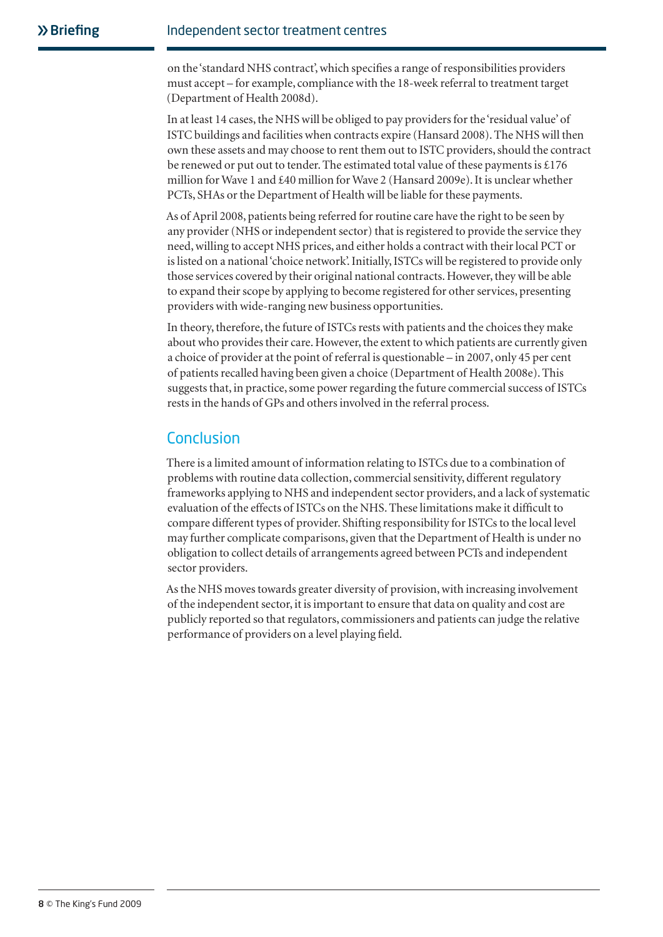on the 'standard NHS contract', which specifies a range of responsibilities providers must accept – for example, compliance with the 18-week referral to treatment target (Department of Health 2008d).

In at least 14 cases, the NHS will be obliged to pay providers for the 'residual value' of ISTC buildings and facilities when contracts expire (Hansard 2008). The NHS will then own these assets and may choose to rent them out to ISTC providers, should the contract be renewed or put out to tender. The estimated total value of these payments is £176 million for Wave 1 and £40 million for Wave 2 (Hansard 2009e). It is unclear whether PCTs, SHAs or the Department of Health will be liable for these payments.

As of April 2008, patients being referred for routine care have the right to be seen by any provider (NHS or independent sector) that is registered to provide the service they need, willing to accept NHS prices, and either holds a contract with their local PCT or is listed on a national 'choice network'. Initially, ISTCs will be registered to provide only those services covered by their original national contracts. However, they will be able to expand their scope by applying to become registered for other services, presenting providers with wide-ranging new business opportunities.

In theory, therefore, the future of ISTCs rests with patients and the choices they make about who provides their care. However, the extent to which patients are currently given a choice of provider at the point of referral is questionable – in 2007, only 45 per cent of patients recalled having been given a choice (Department of Health 2008e). This suggests that, in practice, some power regarding the future commercial success of ISTCs rests in the hands of GPs and others involved in the referral process.

# Conclusion

There is a limited amount of information relating to ISTCs due to a combination of problems with routine data collection, commercial sensitivity, different regulatory frameworks applying to NHS and independent sector providers, and a lack of systematic evaluation of the effects of ISTCs on the NHS. These limitations make it difficult to compare different types of provider. Shifting responsibility for ISTCs to the local level may further complicate comparisons, given that the Department of Health is under no obligation to collect details of arrangements agreed between PCTs and independent sector providers.

As the NHS moves towards greater diversity of provision, with increasing involvement of the independent sector, it is important to ensure that data on quality and cost are publicly reported so that regulators, commissioners and patients can judge the relative performance of providers on a level playing field.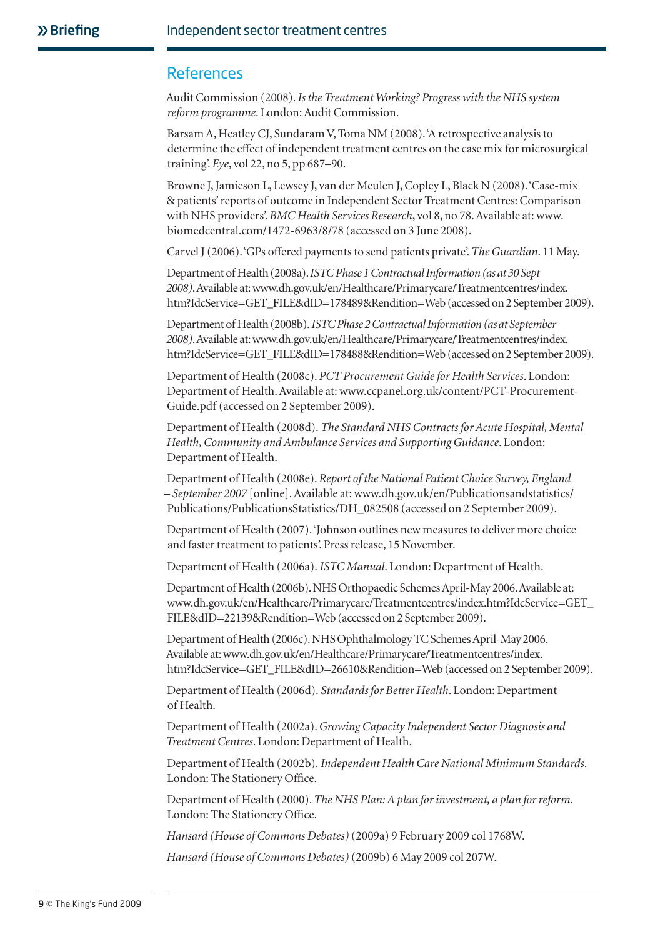#### References

Audit Commission (2008). *Is the Treatment Working? Progress with the NHS system reform programme*. London: Audit Commission.

Barsam A, Heatley CJ, Sundaram V, Toma NM (2008). 'A retrospective analysis to determine the effect of independent treatment centres on the case mix for microsurgical training'. *Eye*, vol 22, no 5, pp 687–90.

Browne J, Jamieson L, Lewsey J, van der Meulen J, Copley L, Black N (2008). 'Case-mix & patients' reports of outcome in Independent Sector Treatment Centres: Comparison with NHS providers'. *BMC Health Services Research*, vol 8, no 78. Available at: www. biomedcentral.com/1472-6963/8/78 (accessed on 3 June 2008).

Carvel J (2006). 'GPs offered payments to send patients private'. *The Guardian*. 11 May.

Department of Health (2008a). *ISTC Phase 1 Contractual Information (as at 30 Sept 2008)*. Available at: www.dh.gov.uk/en/Healthcare/Primarycare/Treatmentcentres/index. htm?IdcService=GET\_FILE&dID=178489&Rendition=Web (accessed on 2 September 2009).

Department of Health (2008b). *ISTC Phase 2 Contractual Information (as at September 2008)*. Available at: www.dh.gov.uk/en/Healthcare/Primarycare/Treatmentcentres/index. htm?IdcService=GET\_FILE&dID=178488&Rendition=Web (accessed on 2 September 2009).

Department of Health (2008c). *PCT Procurement Guide for Health Services*. London: Department of Health. Available at: www.ccpanel.org.uk/content/PCT-Procurement-Guide.pdf (accessed on 2 September 2009).

Department of Health (2008d). *The Standard NHS Contracts for Acute Hospital, Mental Health, Community and Ambulance Services and Supporting Guidance*. London: Department of Health.

Department of Health (2008e). *Report of the National Patient Choice Survey, England – September 2007* [online]. Available at: www.dh.gov.uk/en/Publicationsandstatistics/ Publications/PublicationsStatistics/DH\_082508 (accessed on 2 September 2009).

Department of Health (2007). 'Johnson outlines new measures to deliver more choice and faster treatment to patients'. Press release, 15 November.

Department of Health (2006a). *ISTC Manual*. London: Department of Health.

Department of Health (2006b). NHS Orthopaedic Schemes April-May 2006. Available at: www.dh.gov.uk/en/Healthcare/Primarycare/Treatmentcentres/index.htm?IdcService=GET\_ FILE&dID=22139&Rendition=Web (accessed on 2 September 2009).

Department of Health (2006c). NHS Ophthalmology TC Schemes April-May 2006. Available at: www.dh.gov.uk/en/Healthcare/Primarycare/Treatmentcentres/index. htm?IdcService=GET\_FILE&dID=26610&Rendition=Web (accessed on 2 September 2009).

Department of Health (2006d). *Standards for Better Health*. London: Department of Health.

Department of Health (2002a). *Growing Capacity Independent Sector Diagnosis and Treatment Centres*. London: Department of Health.

Department of Health (2002b). *Independent Health Care National Minimum Standards*. London: The Stationery Office.

Department of Health (2000). *The NHS Plan: A plan for investment, a plan for reform*. London: The Stationery Office.

*Hansard (House of Commons Debates)* (2009a) 9 February 2009 col 1768W.

*Hansard (House of Commons Debates)* (2009b) 6 May 2009 col 207W.